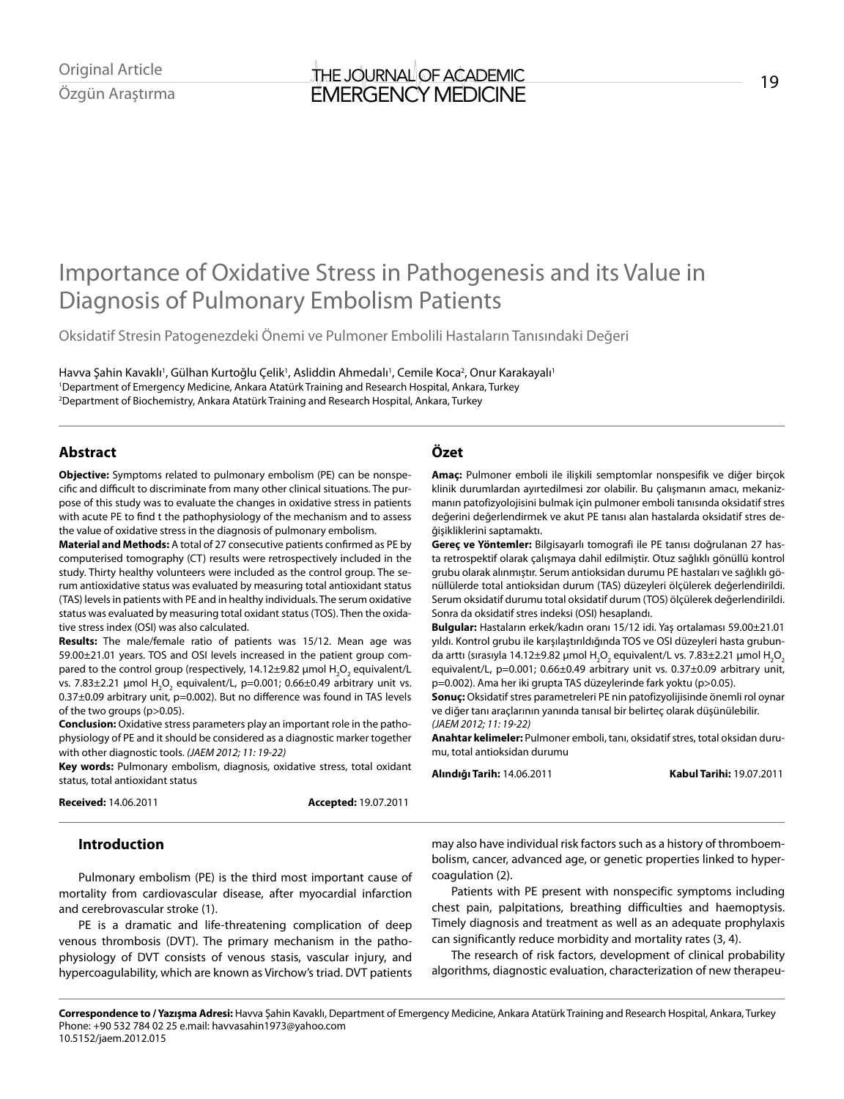# Importance of Oxidative Stress in Pathogenesis and its Value in Diagnosis of Pulmonary Embolism Patients

Oksidatif Stresin Patogenezdeki Önemi ve Pulmoner Embolili Hastaların Tanısındaki Değeri

Havva Şahin Kavaklı', Gülhan Kurtoğlu Çelik', Asliddin Ahmedalı', Cemile Koca<sup>2</sup>, Onur Karakayalı' 1 Department of Emergency Medicine, Ankara Atatürk Training and Research Hospital, Ankara, Turkey 2 Department of Biochemistry, Ankara Atatürk Training and Research Hospital, Ankara, Turkey

# **Abstract**

**Objective:** Symptoms related to pulmonary embolism (PE) can be nonspecific and difficult to discriminate from many other clinical situations. The purpose of this study was to evaluate the changes in oxidative stress in patients with acute PE to find t the pathophysiology of the mechanism and to assess the value of oxidative stress in the diagnosis of pulmonary embolism.

**Material and Methods:** A total of 27 consecutive patients confirmed as PE by computerised tomography (CT) results were retrospectively included in the study. Thirty healthy volunteers were included as the control group. The serum antioxidative status was evaluated by measuring total antioxidant status (TAS) levels in patients with PE and in healthy individuals. The serum oxidative status was evaluated by measuring total oxidant status (TOS). Then the oxidative stress index (OSI) was also calculated.

**Results:** The male/female ratio of patients was 15/12. Mean age was 59.00±21.01 years. TOS and OSI levels increased in the patient group compared to the control group (respectively, 14.12±9.82  $\mu$ mol  $\textsf{H}_{\text{2}}\textsf{O}_{\text{2}}$  equivalent/L vs. 7.83 $\pm$ 2.21 µmol  $H_2O_2$  equivalent/L, p=0.001; 0.66 $\pm$ 0.49 arbitrary unit vs. 0.37±0.09 arbitrary unit, p=0.002). But no difference was found in TAS levels of the two groups (p>0.05).

**Conclusion:** Oxidative stress parameters play an important role in the pathophysiology of PE and it should be considered as a diagnostic marker together with other diagnostic tools. *(JAEM 2012; 11: 19-22)* 

**Key words:** Pulmonary embolism, diagnosis, oxidative stress, total oxidant status, total antioxidant status

**Received:** 14.06.2011 **Accepted:** 19.07.2011

# **Özet**

**Amaç:** Pulmoner emboli ile ilişkili semptomlar nonspesifik ve diğer birçok klinik durumlardan ayırtedilmesi zor olabilir. Bu çalışmanın amacı, mekanizmanın patofizyolojisini bulmak için pulmoner emboli tanısında oksidatif stres değerini değerlendirmek ve akut PE tanısı alan hastalarda oksidatif stres değişikliklerini saptamaktı.

**Gereç ve Yöntemler:** Bilgisayarlı tomografi ile PE tanısı doğrulanan 27 hasta retrospektif olarak çalışmaya dahil edilmiştir. Otuz sağlıklı gönüllü kontrol grubu olarak alınmıştır. Serum antioksidan durumu PE hastaları ve sağlıklı gönüllülerde total antioksidan durum (TAS) düzeyleri ölçülerek değerlendirildi. Serum oksidatif durumu total oksidatif durum (TOS) ölçülerek değerlendirildi. Sonra da oksidatif stres indeksi (OSI) hesaplandı.

**Bulgular:** Hastaların erkek/kadın oranı 15/12 idi. Yaş ortalaması 59.00±21.01 yıldı. Kontrol grubu ile karşılaştırıldığında TOS ve OSI düzeyleri hasta grubunda arttı (sırasıyla 14.12±9.82 µmol H<sub>2</sub>O<sub>2</sub> equivalent/L vs. 7.83±2.21 µmol H<sub>2</sub>O<sub>2</sub> equivalent/L, p=0.001; 0.66±0.49 arbitrary unit vs. 0.37±0.09 arbitrary unit, p=0.002). Ama her iki grupta TAS düzeylerinde fark yoktu (p>0.05).

**Sonuç:** Oksidatif stres parametreleri PE nin patofizyolijisinde önemli rol oynar ve diğer tanı araçlarının yanında tanısal bir belirteç olarak düşünülebilir. *(JAEM 2012; 11: 19-22)*

**Anahtar kelimeler:** Pulmoner emboli, tanı, oksidatif stres, total oksidan durumu, total antioksidan durumu

**Alındığı Tarih:** 14.06.2011 **Kabul Tarihi:** 19.07.2011

# **Introduction**

Pulmonary embolism (PE) is the third most important cause of mortality from cardiovascular disease, after myocardial infarction and cerebrovascular stroke (1).

PE is a dramatic and life-threatening complication of deep venous thrombosis (DVT). The primary mechanism in the pathophysiology of DVT consists of venous stasis, vascular injury, and hypercoagulability, which are known as Virchow's triad. DVT patients may also have individual risk factors such as a history of thromboembolism, cancer, advanced age, or genetic properties linked to hypercoagulation (2).

Patients with PE present with nonspecific symptoms including chest pain, palpitations, breathing difficulties and haemoptysis. Timely diagnosis and treatment as well as an adequate prophylaxis can significantly reduce morbidity and mortality rates (3, 4).

The research of risk factors, development of clinical probability algorithms, diagnostic evaluation, characterization of new therapeu-

**Correspondence to / Yazışma Adresi:** Havva Şahin Kavaklı, Department of Emergency Medicine, Ankara Atatürk Training and Research Hospital, Ankara, Turkey Phone: +90 532 784 02 25 e.mail: havvasahin1973@yahoo.com 10.5152/jaem.2012.015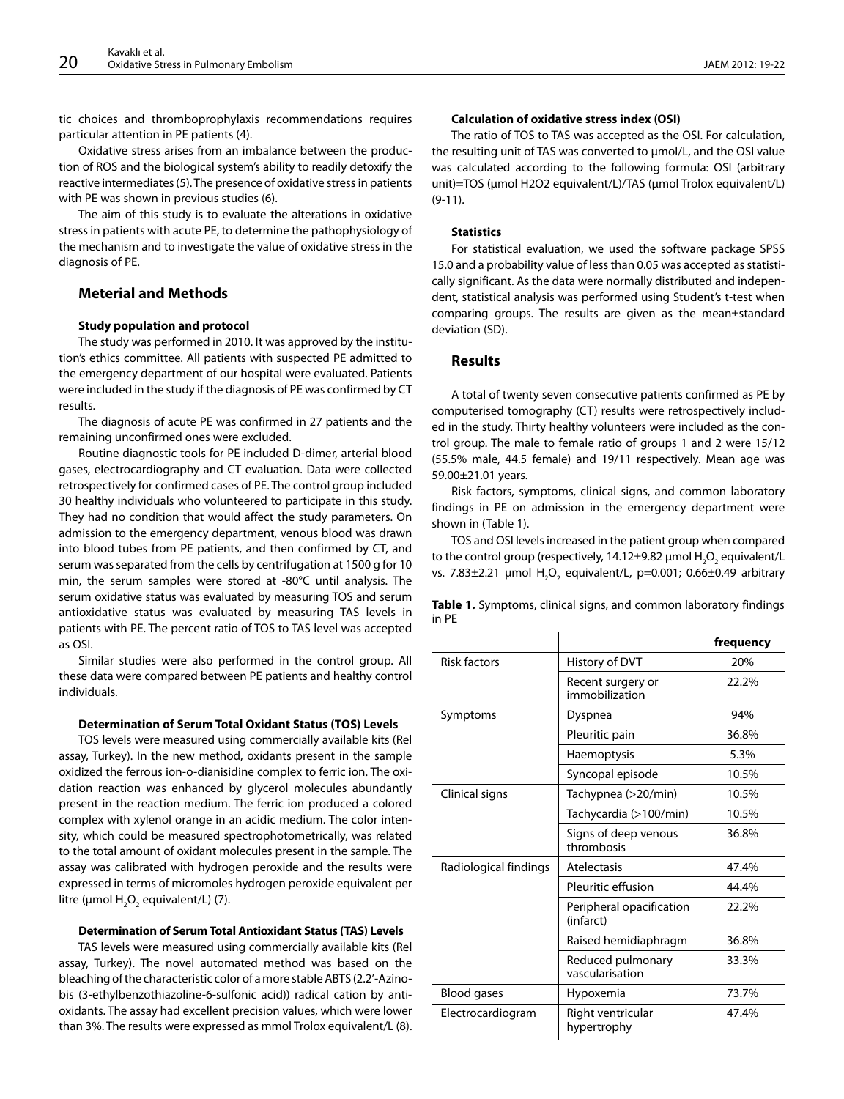tic choices and thromboprophylaxis recommendations requires particular attention in PE patients (4).

Oxidative stress arises from an imbalance between the production of ROS and the biological system's ability to readily detoxify the reactive intermediates (5). The presence of oxidative stress in patients with PE was shown in previous studies (6).

The aim of this study is to evaluate the alterations in oxidative stress in patients with acute PE, to determine the pathophysiology of the mechanism and to investigate the value of oxidative stress in the diagnosis of PE.

# **Meterial and Methods**

## **Study population and protocol**

The study was performed in 2010. It was approved by the institution's ethics committee. All patients with suspected PE admitted to the emergency department of our hospital were evaluated. Patients were included in the study if the diagnosis of PE was confirmed by CT results.

The diagnosis of acute PE was confirmed in 27 patients and the remaining unconfirmed ones were excluded.

Routine diagnostic tools for PE included D-dimer, arterial blood gases, electrocardiography and CT evaluation. Data were collected retrospectively for confirmed cases of PE. The control group included 30 healthy individuals who volunteered to participate in this study. They had no condition that would affect the study parameters. On admission to the emergency department, venous blood was drawn into blood tubes from PE patients, and then confirmed by CT, and serum was separated from the cells by centrifugation at 1500 g for 10 min, the serum samples were stored at -80°C until analysis. The serum oxidative status was evaluated by measuring TOS and serum antioxidative status was evaluated by measuring TAS levels in patients with PE. The percent ratio of TOS to TAS level was accepted as OSI.

Similar studies were also performed in the control group. All these data were compared between PE patients and healthy control individuals.

#### **Determination of Serum Total Oxidant Status (TOS) Levels**

TOS levels were measured using commercially available kits (Rel assay, Turkey). In the new method, oxidants present in the sample oxidized the ferrous ion-o-dianisidine complex to ferric ion. The oxidation reaction was enhanced by glycerol molecules abundantly present in the reaction medium. The ferric ion produced a colored complex with xylenol orange in an acidic medium. The color intensity, which could be measured spectrophotometrically, was related to the total amount of oxidant molecules present in the sample. The assay was calibrated with hydrogen peroxide and the results were expressed in terms of micromoles hydrogen peroxide equivalent per litre (µmol  $H_2O_2$  equivalent/L) (7).

#### **Determination of Serum Total Antioxidant Status (TAS) Levels**

TAS levels were measured using commercially available kits (Rel assay, Turkey). The novel automated method was based on the bleaching of the characteristic color of a more stable ABTS (2.2'-Azinobis (3-ethylbenzothiazoline-6-sulfonic acid)) radical cation by antioxidants. The assay had excellent precision values, which were lower than 3%. The results were expressed as mmol Trolox equivalent/L (8).

### **Calculation of oxidative stress index (OSI)**

The ratio of TOS to TAS was accepted as the OSI. For calculation, the resulting unit of TAS was converted to μmol/L, and the OSI value was calculated according to the following formula: OSI (arbitrary unit)=TOS (μmol H2O2 equivalent/L)/TAS (μmol Trolox equivalent/L) (9-11).

## **Statistics**

For statistical evaluation, we used the software package SPSS 15.0 and a probability value of less than 0.05 was accepted as statistically significant. As the data were normally distributed and independent, statistical analysis was performed using Student's t-test when comparing groups. The results are given as the mean±standard deviation (SD).

## **Results**

A total of twenty seven consecutive patients confirmed as PE by computerised tomography (CT) results were retrospectively included in the study. Thirty healthy volunteers were included as the control group. The male to female ratio of groups 1 and 2 were 15/12 (55.5% male, 44.5 female) and 19/11 respectively. Mean age was 59.00±21.01 years.

Risk factors, symptoms, clinical signs, and common laboratory findings in PE on admission in the emergency department were shown in (Table 1).

TOS and OSI levels increased in the patient group when compared to the control group (respectively, 14.12±9.82  $\mu$ mol H $_2$ O $_2$  equivalent/L vs. 7.83 $\pm$ 2.21  $\mu$ mol  $H_2O_2$  equivalent/L, p=0.001; 0.66 $\pm$ 0.49 arbitrary

|       | <b>Table 1.</b> Symptoms, clinical signs, and common laboratory findings |  |  |  |
|-------|--------------------------------------------------------------------------|--|--|--|
| in PE |                                                                          |  |  |  |

|                       |                                       | frequency |
|-----------------------|---------------------------------------|-----------|
| <b>Risk factors</b>   | History of DVT                        | 20%       |
|                       | Recent surgery or<br>immobilization   | 22.2%     |
| Symptoms              | Dyspnea                               | 94%       |
|                       | Pleuritic pain                        | 36.8%     |
|                       | Haemoptysis                           | 5.3%      |
|                       | Syncopal episode                      | 10.5%     |
| Clinical signs        | Tachypnea (>20/min)                   | 10.5%     |
|                       | Tachycardia (>100/min)                | 10.5%     |
|                       | Signs of deep venous<br>thrombosis    | 36.8%     |
| Radiological findings | Atelectasis                           | 47.4%     |
|                       | Pleuritic effusion                    | 44.4%     |
|                       | Peripheral opacification<br>(infarct) | 22.2%     |
|                       | Raised hemidiaphragm                  | 36.8%     |
|                       | Reduced pulmonary<br>vascularisation  | 33.3%     |
| <b>Blood gases</b>    | Hypoxemia                             | 73.7%     |
| Electrocardiogram     | Right ventricular<br>hypertrophy      | 47.4%     |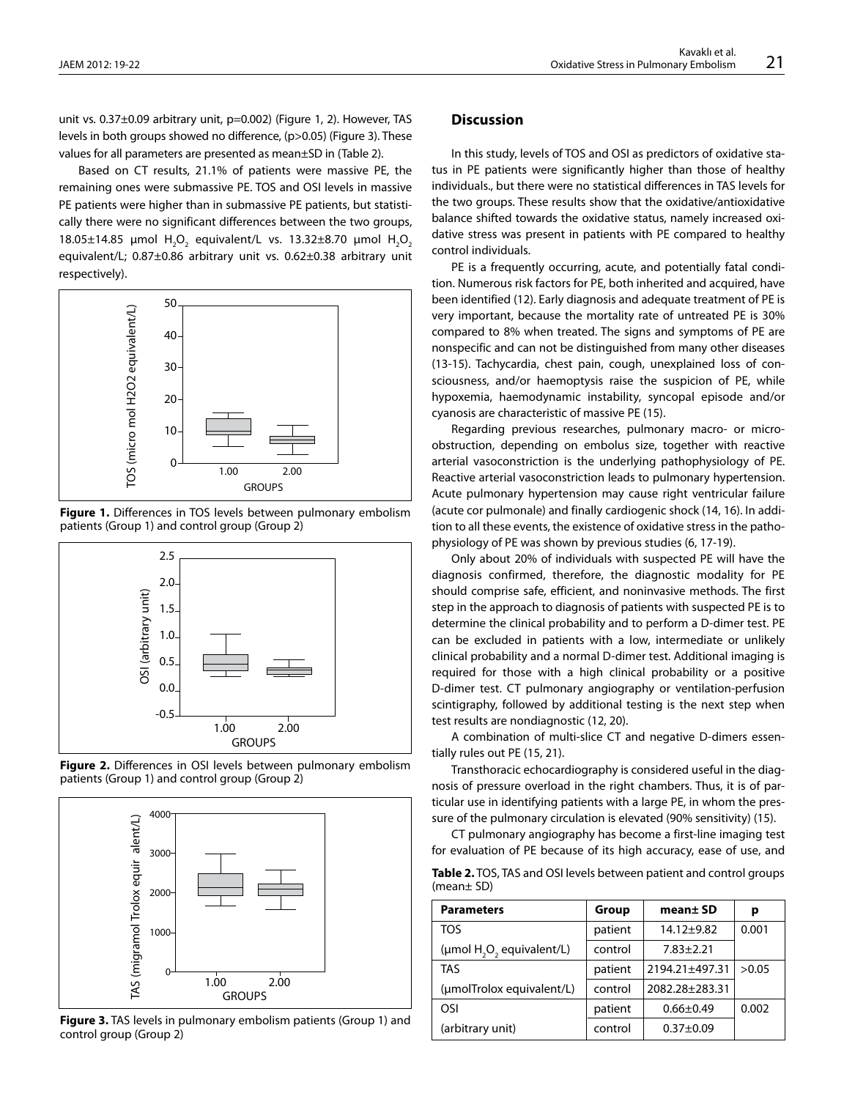unit vs. 0.37±0.09 arbitrary unit, p=0.002) (Figure 1, 2). However, TAS levels in both groups showed no difference, (p>0.05) (Figure 3). These values for all parameters are presented as mean±SD in (Table 2).

Based on CT results, 21.1% of patients were massive PE, the remaining ones were submassive PE. TOS and OSI levels in massive PE patients were higher than in submassive PE patients, but statistically there were no significant differences between the two groups, 18.05±14.85 μmol  $H_2O_2$  equivalent/L vs. 13.32±8.70 μmol  $H_2O_2$ equivalent/L; 0.87±0.86 arbitrary unit vs. 0.62±0.38 arbitrary unit respectively).



**Figure 1.** Differences in TOS levels between pulmonary embolism patients (Group 1) and control group (Group 2)



**Figure 2.** Differences in OSI levels between pulmonary embolism patients (Group 1) and control group (Group 2)



**Figure 3.** TAS levels in pulmonary embolism patients (Group 1) and control group (Group 2)

# **Discussion**

In this study, levels of TOS and OSI as predictors of oxidative status in PE patients were significantly higher than those of healthy individuals., but there were no statistical differences in TAS levels for the two groups. These results show that the oxidative/antioxidative balance shifted towards the oxidative status, namely increased oxidative stress was present in patients with PE compared to healthy control individuals.

PE is a frequently occurring, acute, and potentially fatal condition. Numerous risk factors for PE, both inherited and acquired, have been identified (12). Early diagnosis and adequate treatment of PE is very important, because the mortality rate of untreated PE is 30% compared to 8% when treated. The signs and symptoms of PE are nonspecific and can not be distinguished from many other diseases (13-15). Tachycardia, chest pain, cough, unexplained loss of consciousness, and/or haemoptysis raise the suspicion of PE, while hypoxemia, haemodynamic instability, syncopal episode and/or cyanosis are characteristic of massive PE (15).

Regarding previous researches, pulmonary macro- or microobstruction, depending on embolus size, together with reactive arterial vasoconstriction is the underlying pathophysiology of PE. Reactive arterial vasoconstriction leads to pulmonary hypertension. Acute pulmonary hypertension may cause right ventricular failure (acute cor pulmonale) and finally cardiogenic shock (14, 16). In addition to all these events, the existence of oxidative stress in the pathophysiology of PE was shown by previous studies (6, 17-19).

Only about 20% of individuals with suspected PE will have the diagnosis confirmed, therefore, the diagnostic modality for PE should comprise safe, efficient, and noninvasive methods. The first step in the approach to diagnosis of patients with suspected PE is to determine the clinical probability and to perform a D-dimer test. PE can be excluded in patients with a low, intermediate or unlikely clinical probability and a normal D-dimer test. Additional imaging is required for those with a high clinical probability or a positive D-dimer test. CT pulmonary angiography or ventilation-perfusion scintigraphy, followed by additional testing is the next step when test results are nondiagnostic (12, 20).

A combination of multi-slice CT and negative D-dimers essentially rules out PE (15, 21).

Transthoracic echocardiography is considered useful in the diagnosis of pressure overload in the right chambers. Thus, it is of particular use in identifying patients with a large PE, in whom the pressure of the pulmonary circulation is elevated (90% sensitivity) (15).

CT pulmonary angiography has become a first-line imaging test for evaluation of PE because of its high accuracy, ease of use, and

| Table 2. TOS, TAS and OSI levels between patient and control groups |  |
|---------------------------------------------------------------------|--|
| (mean $\pm$ SD)                                                     |  |

| <b>Parameters</b>                                 | Group   | mean± SD        | р     |
|---------------------------------------------------|---------|-----------------|-------|
| <b>TOS</b>                                        | patient | $14.12 + 9.82$  | 0.001 |
| (µmol H <sub>2</sub> O <sub>2</sub> equivalent/L) | control | $7.83 \pm 2.21$ |       |
| <b>TAS</b>                                        | patient | 2194.21±497.31  | >0.05 |
| (umolTrolox equivalent/L)                         | control | 2082.28±283.31  |       |
| OSI                                               | patient | $0.66 \pm 0.49$ | 0.002 |
| (arbitrary unit)                                  | control | $0.37 + 0.09$   |       |